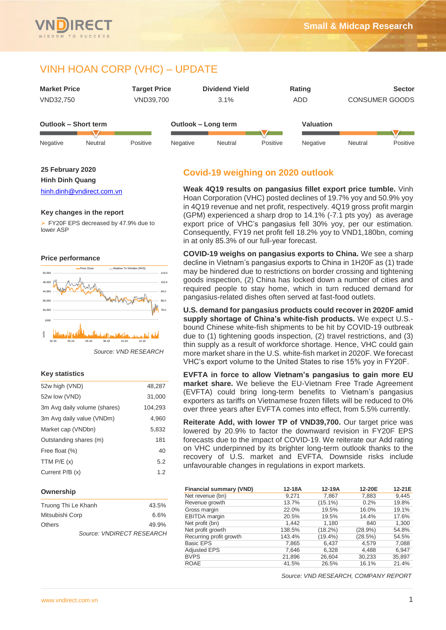# VINH HOAN CORP (VHC) – UPDATE



#### **25 February 2020**

**Hinh Dinh Quang**

[hinh.dinh@vndirect.com.vn](mailto:hinh.dinh@vndirect.com.vn)

### **Key changes in the report**

▶ FY20F EPS decreased by 47.9% due to lower ASP



#### **Key statistics**

| 52w high (VND)               | 48,287  |
|------------------------------|---------|
| 52w low (VND)                | 31,000  |
| 3m Avg daily volume (shares) | 104,293 |
| 3m Avg daily value (VNDm)    | 4,960   |
| Market cap (VNDbn)           | 5,832   |
| Outstanding shares (m)       | 181     |
| Free float (%)               | 40      |
| TTM $P/E(x)$                 | 5.2     |
| Current P/B (x)              | 1.2     |

#### **Ownership**

| Truong Thi Le Khanh       | 43.5% |
|---------------------------|-------|
| Mitsubishi Corp           | 6.6%  |
| <b>Others</b>             | 49.9% |
| Source: VNDIRECT RESEARCH |       |

## **Covid-19 weighing on 2020 outlook**

**Weak 4Q19 results on pangasius fillet export price tumble.** Vinh Hoan Corporation (VHC) posted declines of 19.7% yoy and 50.9% yoy in 4Q19 revenue and net profit, respectively. 4Q19 gross profit margin (GPM) experienced a sharp drop to 14.1% (-7.1 pts yoy) as average export price of VHC's pangasius fell 30% yoy, per our estimation. Consequently, FY19 net profit fell 18.2% yoy to VND1,180bn, coming in at only 85.3% of our full-year forecast.

**COVID-19 weighs on pangasius exports to China.** We see a sharp decline in Vietnam's pangasius exports to China in 1H20F as (1) trade may be hindered due to restrictions on border crossing and tightening goods inspection, (2) China has locked down a number of cities and required people to stay home, which in turn reduced demand for pangasius-related dishes often served at fast-food outlets.

**U.S. demand for pangasius products could recover in 2020F amid supply shortage of China's white-fish products.** We expect U.S. bound Chinese white-fish shipments to be hit by COVID-19 outbreak due to (1) tightening goods inspection, (2) travel restrictions, and (3) thin supply as a result of workforce shortage. Hence, VHC could gain more market share in the U.S. white-fish market in 2020F. We forecast VHC's export volume to the United States to rise 15% yoy in FY20F.

**EVFTA in force to allow Vietnam's pangasius to gain more EU market share.** We believe the EU-Vietnam Free Trade Agreement (EVFTA) could bring long-term benefits to Vietnam's pangasius exporters as tariffs on Vietnamese frozen fillets will be reduced to 0% over three years after EVFTA comes into effect, from 5.5% currently.

**Reiterate Add, with lower TP of VND39,700.** Our target price was lowered by 20.9% to factor the downward revision in FY20F EPS forecasts due to the impact of COVID-19. We reiterate our Add rating on VHC underpinned by its brighter long-term outlook thanks to the recovery of U.S. market and EVFTA. Downside risks include unfavourable changes in regulations in export markets.

| <b>Financial summary (VND)</b> | 12-18A | 12-19A                               | 12-20E     | 12-21E |
|--------------------------------|--------|--------------------------------------|------------|--------|
| Net revenue (bn)               | 9.271  | 7.867                                | 7,883      | 9,445  |
| Revenue growth                 | 13.7%  | $(15.1\%)$                           | 0.2%       | 19.8%  |
| Gross margin                   | 22.0%  | 19.5%                                | 16.0%      | 19.1%  |
| <b>EBITDA</b> margin           | 20.5%  | 19.5%                                | 14.4%      | 17.6%  |
| Net profit (bn)                | 1,442  | 1,180                                | 840        | 1,300  |
| Net profit growth              | 138.5% | $(18.2\%)$                           | $(28.9\%)$ | 54.8%  |
| Recurring profit growth        | 143.4% | $(19.4\%)$                           | (28.5%)    | 54.5%  |
| <b>Basic EPS</b>               | 7,865  | 6,437                                | 4.579      | 7,088  |
| <b>Adjusted EPS</b>            | 7.646  | 6,328                                | 4,488      | 6.947  |
| <b>BVPS</b>                    | 21,896 | 26.604                               | 30,233     | 35,897 |
| <b>ROAE</b>                    | 41.5%  | 26.5%                                | 16.1%      | 21.4%  |
|                                |        | Source: VND RESEARCH, COMPANY REPORT |            |        |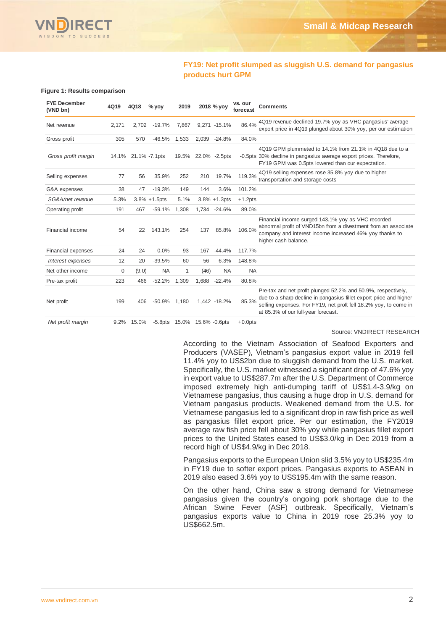

### **FY19: Net profit slumped as sluggish U.S. demand for pangasius products hurt GPM**

#### **Figure 1: Results comparison**

| <b>FYE December</b><br>(VND bn) | 4Q19  | 4Q18                | $%$ yoy           | 2019                        |       | 2018 % yoy       | vs. our<br>forecast | <b>Comments</b>                                                                                                                                                                                                                                |
|---------------------------------|-------|---------------------|-------------------|-----------------------------|-------|------------------|---------------------|------------------------------------------------------------------------------------------------------------------------------------------------------------------------------------------------------------------------------------------------|
| Net revenue                     | 2,171 | 2.702               | $-19.7%$          | 7,867                       |       | 9,271 -15.1%     | 86.4%               | 4Q19 revenue declined 19.7% yoy as VHC pangasius' average<br>export price in 4Q19 plunged about 30% yoy, per our estimation                                                                                                                    |
| Gross profit                    | 305   | 570                 | $-46.5%$          | 1,533                       |       | 2,039 -24.8%     | 84.0%               |                                                                                                                                                                                                                                                |
| Gross profit margin             |       | 14.1% 21.1% -7.1pts |                   | 19.5%                       |       | 22.0% -2.5pts    |                     | 4Q19 GPM plummeted to 14.1% from 21.1% in 4Q18 due to a<br>-0.5pts 30% decline in pangasius average export prices. Therefore,<br>FY19 GPM was 0.5pts lowered than our expectation.                                                             |
| Selling expenses                | 77    | 56                  | 35.9%             | 252                         | 210   | 19.7%            | 119.3%              | 4Q19 selling expenses rose 35.8% yoy due to higher<br>transportation and storage costs                                                                                                                                                         |
| G&A expenses                    | 38    | 47                  | $-19.3%$          | 149                         | 144   | 3.6%             | 101.2%              |                                                                                                                                                                                                                                                |
| SG&A/net revenue                | 5.3%  |                     | $3.8\% + 1.5$ pts | 5.1%                        |       | $3.8\% + 1.3pts$ | $+1.2pts$           |                                                                                                                                                                                                                                                |
| Operating profit                | 191   | 467                 | $-59.1%$          | 1,308                       |       | 1,734 -24.6%     | 89.0%               |                                                                                                                                                                                                                                                |
| Financial income                | 54    | 22                  | 143.1%            | 254                         | 137   | 85.8%            | 106.0%              | Financial income surged 143.1% yoy as VHC recorded<br>abnormal profit of VND15bn from a divestment from an associate<br>company and interest income increased 46% yoy thanks to<br>higher cash balance.                                        |
| Financial expenses              | 24    | 24                  | 0.0%              | 93                          | 167   | $-44.4%$         | 117.7%              |                                                                                                                                                                                                                                                |
| Interest expenses               | 12    | 20                  | $-39.5%$          | 60                          | 56    | 6.3%             | 148.8%              |                                                                                                                                                                                                                                                |
| Net other income                | 0     | (9.0)               | <b>NA</b>         | 1                           | (46)  | <b>NA</b>        | <b>NA</b>           |                                                                                                                                                                                                                                                |
| Pre-tax profit                  | 223   | 466                 | $-52.2%$          | 1,309                       | 1,688 | $-22.4%$         | 80.8%               |                                                                                                                                                                                                                                                |
| Net profit                      | 199   | 406                 | $-50.9%$          | 1,180                       |       | 1.442 -18.2%     | 85.3%               | Pre-tax and net profit plunged 52.2% and 50.9%, respectively,<br>due to a sharp decline in pangasius fillet export price and higher<br>selling expenses. For FY19, net proft fell 18.2% yoy, to come in<br>at 85.3% of our full-year forecast. |
| Net profit margin               | 9.2%  | 15.0%               |                   | -5.8pts 15.0% 15.6% -0.6pts |       |                  | $+0.0$ pts          |                                                                                                                                                                                                                                                |

Source: VNDIRECT RESEARCH

According to the Vietnam Association of Seafood Exporters and Producers (VASEP), Vietnam's pangasius export value in 2019 fell 11.4% yoy to US\$2bn due to sluggish demand from the U.S. market. Specifically, the U.S. market witnessed a significant drop of 47.6% yoy in export value to US\$287.7m after the U.S. Department of Commerce imposed extremely high anti-dumping tariff of US\$1.4-3.9/kg on Vietnamese pangasius, thus causing a huge drop in U.S. demand for Vietnam pangasius products. Weakened demand from the U.S. for Vietnamese pangasius led to a significant drop in raw fish price as well as pangasius fillet export price. Per our estimation, the FY2019 average raw fish price fell about 30% yoy while pangasius fillet export prices to the United States eased to US\$3.0/kg in Dec 2019 from a record high of US\$4.9/kg in Dec 2018.

Pangasius exports to the European Union slid 3.5% yoy to US\$235.4m in FY19 due to softer export prices. Pangasius exports to ASEAN in 2019 also eased 3.6% yoy to US\$195.4m with the same reason.

On the other hand, China saw a strong demand for Vietnamese pangasius given the country's ongoing pork shortage due to the African Swine Fever (ASF) outbreak. Specifically, Vietnam's pangasius exports value to China in 2019 rose 25.3% yoy to US\$662.5m.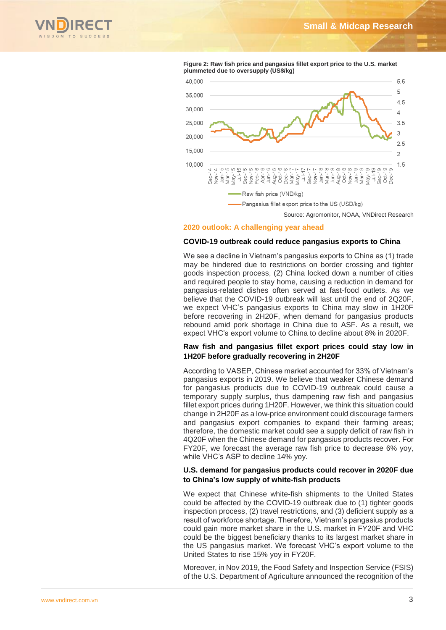



**Figure 2: Raw fish price and pangasius fillet export price to the U.S. market plummeted due to oversupply (US\$/kg)**

Source: Agromonitor, NOAA, VNDirect Research

#### **2020 outlook: A challenging year ahead**

### **COVID-19 outbreak could reduce pangasius exports to China**

We see a decline in Vietnam's pangasius exports to China as (1) trade may be hindered due to restrictions on border crossing and tighter goods inspection process, (2) China locked down a number of cities and required people to stay home, causing a reduction in demand for pangasius-related dishes often served at fast-food outlets. As we believe that the COVID-19 outbreak will last until the end of 2Q20F, we expect VHC's pangasius exports to China may slow in 1H20F before recovering in 2H20F, when demand for pangasius products rebound amid pork shortage in China due to ASF. As a result, we expect VHC's export volume to China to decline about 8% in 2020F.

### **Raw fish and pangasius fillet export prices could stay low in 1H20F before gradually recovering in 2H20F**

According to VASEP, Chinese market accounted for 33% of Vietnam's pangasius exports in 2019. We believe that weaker Chinese demand for pangasius products due to COVID-19 outbreak could cause a temporary supply surplus, thus dampening raw fish and pangasius fillet export prices during 1H20F. However, we think this situation could change in 2H20F as a low-price environment could discourage farmers and pangasius export companies to expand their farming areas; therefore, the domestic market could see a supply deficit of raw fish in 4Q20F when the Chinese demand for pangasius products recover. For FY20F, we forecast the average raw fish price to decrease 6% yoy, while VHC's ASP to decline 14% yoy.

### **U.S. demand for pangasius products could recover in 2020F due to China's low supply of white-fish products**

We expect that Chinese white-fish shipments to the United States could be affected by the COVID-19 outbreak due to (1) tighter goods inspection process, (2) travel restrictions, and (3) deficient supply as a result of workforce shortage. Therefore, Vietnam's pangasius products could gain more market share in the U.S. market in FY20F and VHC could be the biggest beneficiary thanks to its largest market share in the US pangasius market. We forecast VHC's export volume to the United States to rise 15% yoy in FY20F.

Moreover, in Nov 2019, the Food Safety and Inspection Service (FSIS) of the U.S. Department of Agriculture announced the recognition of the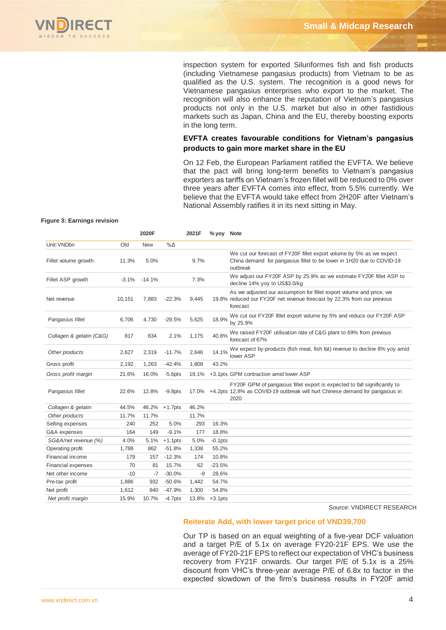inspection system for exported Siluriformes fish and fish products (including Vietnamese pangasius products) from Vietnam to be as qualified as the U.S. system. The recognition is a good news for Vietnamese pangasius enterprises who export to the market. The recognition will also enhance the reputation of Vietnam's pangasius products not only in the U.S. market but also in other fastidious markets such as Japan, China and the EU, thereby boosting exports in the long term.

### **EVFTA creates favourable conditions for Vietnam's pangasius products to gain more market share in the EU**

On 12 Feb, the European Parliament ratified the EVFTA. We believe that the pact will bring long-term benefits to Vietnam's pangasius exporters as tariffs on Vietnam's frozen fillet will be reduced to 0% over three years after EVFTA comes into effect, from 5.5% currently. We believe that the EVFTA would take effect from 2H20F after Vietnam's National Assembly ratifies it in its next sitting in May.

#### **Figure 3: Earnings revision**

|                          |         | 2020F      |            | 2021F | % yoy Note |                                                                                                                                                                                                                                                                                                                                                                                                                     |
|--------------------------|---------|------------|------------|-------|------------|---------------------------------------------------------------------------------------------------------------------------------------------------------------------------------------------------------------------------------------------------------------------------------------------------------------------------------------------------------------------------------------------------------------------|
| Unit: VNDbn              | Old     | <b>New</b> | $% \Delta$ |       |            |                                                                                                                                                                                                                                                                                                                                                                                                                     |
| Fillet volume growth     | 11.3%   | 5.0%       |            | 9.7%  |            | We cut our forecast of FY20F fillet export volume by 5% as we expect<br>China demand for pangasius fillet to be lower in 1H20 due to COVID-19<br>outbreak                                                                                                                                                                                                                                                           |
| Fillet ASP growth        | $-3.1%$ | $-14.1%$   |            | 7.3%  |            | We adjust our FY20F ASP by 25.9% as we estimate FY20F fillet ASP to<br>decline 14% yoy to US\$3.0/kg                                                                                                                                                                                                                                                                                                                |
| Net revenue              | 10,151  | 7,883      | $-22.3%$   | 9,445 |            | As we adjusted our assumption for fillet export volume and price, we<br>19.8% reduced our FY20F net revenue forecast by 22.3% from our previous<br>forecast                                                                                                                                                                                                                                                         |
| Pangasius fillet         | 6,706   | 4,730      | $-29.5%$   | 5,625 | 18.9%      | We cut our FY20F fillet export volume by 5% and reduce our FY20F ASP<br>by 25.9%                                                                                                                                                                                                                                                                                                                                    |
| Collagen & gelatin (C&G) | 817     | 834        | 2.1%       | 1,175 | 40.8%      | We raised FY20F utilisation rate of C&G plant to 69% from previous<br>forecast of 67%                                                                                                                                                                                                                                                                                                                               |
| Other products           | 2,627   | 2,319      | $-11.7%$   | 2,646 | 14.1%      | We expect by-products (fish meal, fish fat) revenue to decline 8% yoy amid<br>lower ASP                                                                                                                                                                                                                                                                                                                             |
| Gross profit             | 2,192   | 1,263      | $-42.4%$   | 1,808 | 43.2%      |                                                                                                                                                                                                                                                                                                                                                                                                                     |
| Gross profit margin      | 21.6%   | 16.0%      | $-5.6$ pts | 19.1% |            | +3.1pts GPM contraction amid lower ASP                                                                                                                                                                                                                                                                                                                                                                              |
| Pangasius fillet         | 22.6%   | 12.8%      | $-9.8pts$  | 17.0% |            | FY20F GPM of pangasius fillet export is expected to fall significantly to<br>+4.2pts 12.8% as COVID-19 outbreak will hurt Chinese demand for pangasius in<br>2020                                                                                                                                                                                                                                                   |
| Collagen & gelatin       | 44.5%   | 46.2%      | $+1.7$ pts | 46.2% |            |                                                                                                                                                                                                                                                                                                                                                                                                                     |
| Other products           | 11.7%   | 11.7%      |            | 11.7% |            |                                                                                                                                                                                                                                                                                                                                                                                                                     |
| Selling expenses         | 240     | 252        | 5.0%       | 293   | 16.3%      |                                                                                                                                                                                                                                                                                                                                                                                                                     |
| G&A expenses             | 164     | 149        | $-9.1%$    | 177   | 18.8%      |                                                                                                                                                                                                                                                                                                                                                                                                                     |
| SG&A/net revenue (%)     | 4.0%    | 5.1%       | $+1.1$ pts | 5.0%  | $-0.1$ pts |                                                                                                                                                                                                                                                                                                                                                                                                                     |
| Operating profit         | 1,788   | 862        | $-51.8%$   | 1,338 | 55.2%      |                                                                                                                                                                                                                                                                                                                                                                                                                     |
| Financial income         | 179     | 157        | $-12.3%$   | 174   | 10.8%      |                                                                                                                                                                                                                                                                                                                                                                                                                     |
| Financial expenses       | 70      | 81         | 15.7%      | 62    | $-23.5%$   |                                                                                                                                                                                                                                                                                                                                                                                                                     |
| Net other income         | $-10$   | $-7$       | $-30.0%$   | -9    | 28.6%      |                                                                                                                                                                                                                                                                                                                                                                                                                     |
| Pre-tax profit           | 1,886   | 932        | $-50.6%$   | 1,442 | 54.7%      |                                                                                                                                                                                                                                                                                                                                                                                                                     |
| Net profit               | 1,612   | 840        | $-47.9%$   | 1,300 | 54.8%      |                                                                                                                                                                                                                                                                                                                                                                                                                     |
| Net profit margin        | 15.9%   | 10.7%      | $-4.7$ pts | 13.8% | $+3.1pts$  |                                                                                                                                                                                                                                                                                                                                                                                                                     |
|                          |         |            |            |       |            | Source: VNDIRECT RESEARCH                                                                                                                                                                                                                                                                                                                                                                                           |
|                          |         |            |            |       |            | Reiterate Add, with lower target price of VND39,700                                                                                                                                                                                                                                                                                                                                                                 |
|                          |         |            |            |       |            | Our TP is based on an equal weighting of a five-year DCF valuation<br>and a target P/E of 5.1x on average FY20-21F EPS. We use the<br>average of FY20-21F EPS to reflect our expectation of VHC's business<br>recovery from FY21F onwards. Our target P/E of 5.1x is a 25%<br>discount from VHC's three-year average P/E of 6.8x to factor in the<br>expected slowdown of the firm's business results in FY20F amid |

### **Reiterate Add, with lower target price of VND39,700**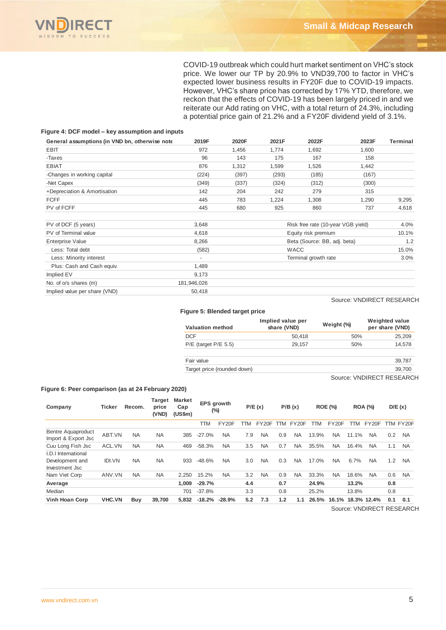

COVID-19 outbreak which could hurt market sentiment on VHC's stock price. We lower our TP by 20.9% to VND39,700 to factor in VHC's expected lower business results in FY20F due to COVID-19 impacts. However, VHC's share price has corrected by 17% YTD, therefore, we reckon that the effects of COVID-19 has been largely priced in and we reiterate our Add rating on VHC, with a total return of 24.3%, including a potential price gain of 21.2% and a FY20F dividend yield of 3.1%.

#### **Figure 4: DCF model – key assumption and inputs**

| General assumptions (in VND bn, otherwise note | 2019F       | 2020F | 2021F | 2022F                              | 2023F | Terminal |
|------------------------------------------------|-------------|-------|-------|------------------------------------|-------|----------|
| <b>EBIT</b>                                    | 972         | 1,456 | 1,774 | 1,692                              | 1,600 |          |
| -Taxes                                         | 96          | 143   | 175   | 167                                | 158   |          |
| <b>EBIAT</b>                                   | 876         | 1,312 | 1,599 | 1,526                              | 1,442 |          |
| -Changes in working capital                    | (224)       | (397) | (293) | (185)                              | (167) |          |
| -Net Capex                                     | (349)       | (337) | (324) | (312)                              | (300) |          |
| +Depreciation & Amortisation                   | 142         | 204   | 242   | 279                                | 315   |          |
| <b>FCFF</b>                                    | 445         | 783   | 1,224 | 1,308                              | 1,290 | 9,295    |
| PV of FCFF                                     | 445         | 680   | 925   | 860                                | 737   | 4,618    |
| PV of DCF (5 years)                            | 3,648       |       |       | Risk free rate (10-year VGB yield) |       | 4.0%     |
| PV of Terminal value                           | 4,618       |       |       | Equity risk premium                |       | 10.1%    |
| <b>Enterprise Value</b>                        | 8,266       |       |       | Beta (Source: BB, adj. beta)       |       | 1.2      |
| Less: Total debt                               | (582)       |       |       | <b>WACC</b>                        |       | 15.0%    |
| Less: Minority interest                        |             |       |       | Terminal growth rate               |       | 3.0%     |
| Plus: Cash and Cash equiv.                     | 1,489       |       |       |                                    |       |          |
| Implied EV                                     | 9,173       |       |       |                                    |       |          |
| No. of o/s shares (m)                          | 181,946,026 |       |       |                                    |       |          |
| Implied value per share (VND)                  | 50,418      |       |       |                                    |       |          |

Source: VNDIRECT RESEARCH

#### **Figure 5: Blended target price**

| <b>Valuation method</b>     | Implied value per<br>share (VND) | Weight (%) | <b>Weighted value</b><br>per share (VND) |
|-----------------------------|----------------------------------|------------|------------------------------------------|
| <b>DCF</b>                  | 50.418                           | 50%        | 25,209                                   |
| $P/E$ (target $P/E$ 5.5)    | 29.157                           | 50%        | 14,578                                   |
| Fair value                  |                                  |            | 39,787                                   |
| Target price (rounded down) |                                  |            | 39,700                                   |

Source: VNDIRECT RESEARCH

#### **Figure 6: Peer comparison (as at 24 February 2020)**

| Company                                          | <b>Ticker</b> | Recom.    | Target<br>price<br>(VND) | <b>Market</b><br>Cap<br>(US\$m) | EPS growth<br>$(\%)$ |           |     | P/E(x)    |     | P/B(x)    |       | <b>ROE (%)</b>     |       | <b>ROA (%)</b> |     | D/E(x)    |
|--------------------------------------------------|---------------|-----------|--------------------------|---------------------------------|----------------------|-----------|-----|-----------|-----|-----------|-------|--------------------|-------|----------------|-----|-----------|
|                                                  |               |           |                          |                                 | TTM                  | FY20F     | TTM | FY20F     | TTM | FY20F     | TTM   | FY <sub>20</sub> F | TTM   | FY20F          |     | TTM FY20F |
| <b>Bentre Aquaproduct</b><br>Import & Export Jsc | ABT.VN        | <b>NA</b> | <b>NA</b>                | 385                             | $-27.0%$             | <b>NA</b> | 7.9 | <b>NA</b> | 0.9 | <b>NA</b> | 13.9% | <b>NA</b>          | 11.1% | <b>NA</b>      | 0.2 | <b>NA</b> |
| Cuu Long Fish Jsc                                | ACL.VN        | <b>NA</b> | <b>NA</b>                | 469                             | $-58.3%$             | <b>NA</b> | 3.5 | <b>NA</b> | 0.7 | <b>NA</b> | 35.5% | <b>NA</b>          | 16.4% | <b>NA</b>      | 1.1 | <b>NA</b> |
| I.D.I International                              |               |           |                          |                                 |                      |           |     |           |     |           |       |                    |       |                |     |           |
| Development and                                  | <b>IDI.VN</b> | <b>NA</b> | <b>NA</b>                | 933                             | $-48.6%$             | <b>NA</b> | 3.0 | <b>NA</b> | 0.3 | <b>NA</b> | 17.0% | <b>NA</b>          | 6.7%  | <b>NA</b>      | 1.2 | <b>NA</b> |
| Investment Jsc                                   |               |           |                          |                                 |                      |           |     |           |     |           |       |                    |       |                |     |           |
| Nam Viet Corp                                    | ANV.VN        | <b>NA</b> | <b>NA</b>                | 2.250                           | 15.2%                | <b>NA</b> | 3.2 | <b>NA</b> | 0.9 | <b>NA</b> | 33.3% | <b>NA</b>          | 18.6% | <b>NA</b>      | 0.6 | <b>NA</b> |
| Average                                          |               |           |                          | 1.009                           | $-29.7%$             |           | 4.4 |           | 0.7 |           | 24.9% |                    | 13.2% |                | 0.8 |           |
| Median                                           |               |           |                          | 701                             | $-37.8%$             |           | 3.3 |           | 0.8 |           | 25.2% |                    | 13.8% |                | 0.8 |           |
| <b>Vinh Hoan Corp</b>                            | <b>VHC.VN</b> | Buy       | 39,700                   | 5.832                           | $-18.2%$             | -28.9%    | 5.2 | 7.3       | 1.2 | 1.1       | 26.5% | 16.1%              |       | 18.3% 12.4%    | 0.1 | 0.1       |

Source: VNDIRECT RESEARCH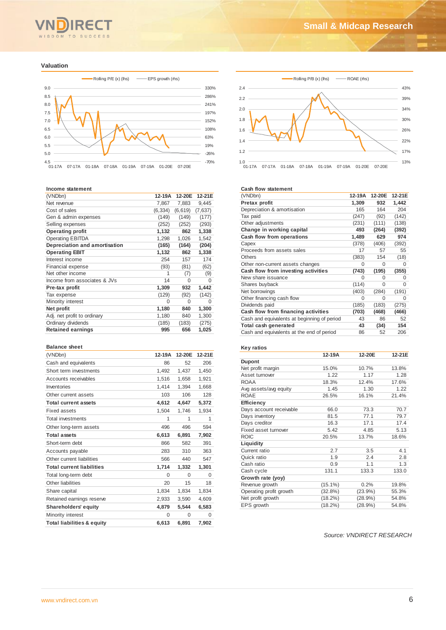

#### **Valuation**



#### **Income statement**

| (VNDbn)                       | 12-19A   | 12-20E   | 12-21E   |
|-------------------------------|----------|----------|----------|
| Net revenue                   | 7,867    | 7,883    | 9,445    |
| Cost of sales                 | (6, 334) | (6,619)  | (7,637)  |
| Gen & admin expenses          | (149)    | (149)    | (177)    |
| Selling expenses              | (252)    | (252)    | (293)    |
| <b>Operating profit</b>       | 1,132    | 862      | 1,338    |
| <b>Operating EBITDA</b>       | 1,298    | 1,026    | 1,542    |
| Depreciation and amortisation | (165)    | (164)    | (204)    |
| <b>Operating EBIT</b>         | 1,132    | 862      | 1,338    |
| Interest income               | 254      | 157      | 174      |
| <b>Financial expense</b>      | (93)     | (81)     | (62)     |
| Net other income              | 1        | (7)      | (9)      |
| Income from associates & JVs  | 14       | $\Omega$ | $\Omega$ |
| Pre-tax profit                | 1,309    | 932      | 1,442    |
| Tax expense                   | (129)    | (92)     | (142)    |
| Minority interest             | $\Omega$ | $\Omega$ | U        |
| Net profit                    | 1,180    | 840      | 1,300    |
| Adj. net profit to ordinary   | 1,180    | 840      | 1,300    |
| Ordinary dividends            | (185)    | (183)    | (275)    |
| <b>Retained earnings</b>      | 995      | 656      | 1,025    |

#### **Balance sheet**

| הסומווטפ שופפנ                        |        |        |        |
|---------------------------------------|--------|--------|--------|
| (VNDbn)                               | 12-19A | 12-20E | 12-21E |
| Cash and equivalents                  | 86     | 52     | 206    |
| Short term investments                | 1,492  | 1,437  | 1,450  |
| Accounts receivables                  | 1,516  | 1,658  | 1,921  |
| Inventories                           | 1,414  | 1,394  | 1,668  |
| Other current assets                  | 103    | 106    | 128    |
| <b>Total current assets</b>           | 4,612  | 4,647  | 5,372  |
| Fixed assets                          | 1,504  | 1,746  | 1,934  |
| <b>Total investments</b>              | 1      | 1      | 1      |
| Other long-term assets                | 496    | 496    | 594    |
| <b>Total assets</b>                   | 6,613  | 6,891  | 7,902  |
| Short-term debt                       | 866    | 582    | 391    |
| Accounts payable                      | 283    | 310    | 363    |
| Other current liabilities             | 566    | 440    | 547    |
| <b>Total current liabilities</b>      | 1,714  | 1,332  | 1,301  |
| Total long-term debt                  | 0      | 0      | 0      |
| Other liabilities                     | 20     | 15     | 18     |
| Share capital                         | 1,834  | 1,834  | 1,834  |
| Retained earnings reserve             | 2,933  | 3,590  | 4,609  |
| <b>Shareholders' equity</b>           | 4.879  | 5,544  | 6.583  |
| Minority interest                     | 0      | 0      | 0      |
| <b>Total liabilities &amp; equity</b> | 6,613  | 6,891  | 7,902  |
|                                       |        |        |        |



#### **Cash flow statement**

| (VNDbn)                                     | 12-19A   | 12-20E | 12-21E |
|---------------------------------------------|----------|--------|--------|
| Pretax profit                               | 1,309    | 932    | 1,442  |
| Depreciation & amortisation                 | 165      | 164    | 204    |
| Tax paid                                    | (247)    | (92)   | (142)  |
| Other adjustments                           | (231)    | (111)  | (138)  |
| Change in working capital                   | 493      | (264)  | (392)  |
| Cash flow from operations                   | 1,489    | 629    | 974    |
| Capex                                       | (378)    | (406)  | (392)  |
| Proceeds from assets sales                  | 17       | 57     | 55     |
| <b>Others</b>                               | (383)    | 154    | (18)   |
| Other non-current assets changes            | 0        | 0      | 0      |
| Cash flow from investing activities         | (743)    | (195)  | (355)  |
| New share issuance                          | $\Omega$ | O      | 0      |
| Shares buyback                              | (114)    | 0      | 0      |
| Net borrowings                              | (403)    | (284)  | (191)  |
| Other financing cash flow                   | 0        | 0      | 0      |
| Dividends paid                              | (185)    | (183)  | (275)  |
| Cash flow from financing activities         | (703)    | (468)  | (466)  |
| Cash and equivalents at beginning of period | 43       | 86     | 52     |
| Total cash generated                        | 43       | (34)   | 154    |
| Cash and equivalents at the end of period   | 86       | 52     | 206    |

#### **Key ratios**

|                         | 12-19A     | 12-20E     | 12-21E |
|-------------------------|------------|------------|--------|
| <b>Dupont</b>           |            |            |        |
| Net profit margin       | 15.0%      | 10.7%      | 13.8%  |
| Asset turnover          | 1.22       | 1.17       | 1.28   |
| <b>ROAA</b>             | 18.3%      | 12.4%      | 17.6%  |
| Avg assets/avg equity   | 1.45       | 1.30       | 1.22   |
| <b>ROAE</b>             | 26.5%      | 16.1%      | 21.4%  |
| Efficiency              |            |            |        |
| Days account receivable | 66.0       | 73.3       | 70.7   |
| Days inventory          | 81.5       | 77.1       | 79.7   |
| Days creditor           | 16.3       | 17.1       | 17.4   |
| Fixed asset turnover    | 5.42       | 4.85       | 5.13   |
| <b>ROIC</b>             | 20.5%      | 13.7%      | 18.6%  |
| Liquidity               |            |            |        |
| Current ratio           | 2.7        | 3.5        | 4.1    |
| Quick ratio             | 1.9        | 2.4        | 2.8    |
| Cash ratio              | 0.9        | 1.1        | 1.3    |
| Cash cycle              | 131.1      | 133.3      | 133.0  |
| Growth rate (yoy)       |            |            |        |
| Revenue growth          | $(15.1\%)$ | 0.2%       | 19.8%  |
| Operating profit growth | $(32.8\%)$ | $(23.9\%)$ | 55.3%  |
| Net profit growth       | $(18.2\%)$ | (28.9%)    | 54.8%  |
| EPS growth              | $(18.2\%)$ | (28.9%)    | 54.8%  |

*Source: VNDIRECT RESEARCH*